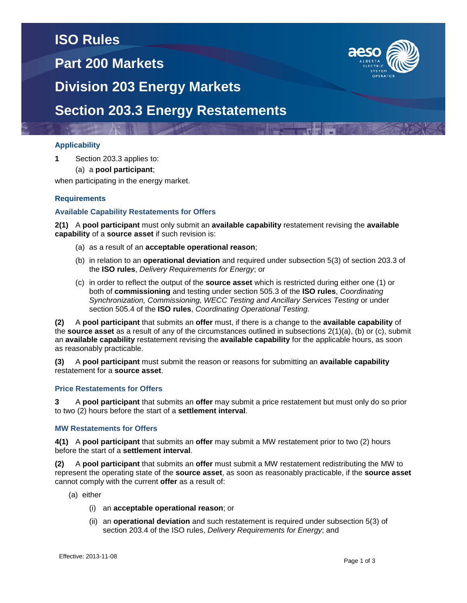# **ISO Rules**

**Part 200 Markets**



**Division 203 Energy Markets**

## **Section 203.3 Energy Restatements**

### **Applicability**

**1** Section 203.3 applies to:

(a) a **pool participant**;

when participating in the energy market.

### **Requirements**

#### **Available Capability Restatements for Offers**

**2(1)** A **pool participant** must only submit an **available capability** restatement revising the **available capability** of a **source asset** if such revision is:

- (a) as a result of an **acceptable operational reason**;
- (b) in relation to an **operational deviation** and required under subsection 5(3) of section 203.3 of the **ISO rules**, *Delivery Requirements for Energy*; or
- (c) in order to reflect the output of the **source asset** which is restricted during either one (1) or both of **commissioning** and testing under section 505.3 of the **ISO rules**, *Coordinating Synchronization, Commissioning, WECC Testing and Ancillary Services Testing* or under section 505.4 of the **ISO rules**, *Coordinating Operational Testing*.

**(2)** A **pool participant** that submits an **offer** must, if there is a change to the **available capability** of the **source asset** as a result of any of the circumstances outlined in subsections 2(1)(a), (b) or (c), submit an **available capability** restatement revising the **available capability** for the applicable hours, as soon as reasonably practicable.

**(3)** A **pool participant** must submit the reason or reasons for submitting an **available capability** restatement for a **source asset**.

#### **Price Restatements for Offers**

**3** A **pool participant** that submits an **offer** may submit a price restatement but must only do so prior to two (2) hours before the start of a **settlement interval**.

### **MW Restatements for Offers**

**4(1)** A **pool participant** that submits an **offer** may submit a MW restatement prior to two (2) hours before the start of a **settlement interval**.

**(2)** A **pool participant** that submits an **offer** must submit a MW restatement redistributing the MW to represent the operating state of the **source asset**, as soon as reasonably practicable, if the **source asset**  cannot comply with the current **offer** as a result of:

- (a) either
	- (i) an **acceptable operational reason**; or
	- (ii) an **operational deviation** and such restatement is required under subsection 5(3) of section 203.4 of the ISO rules, *Delivery Requirements for Energy*; and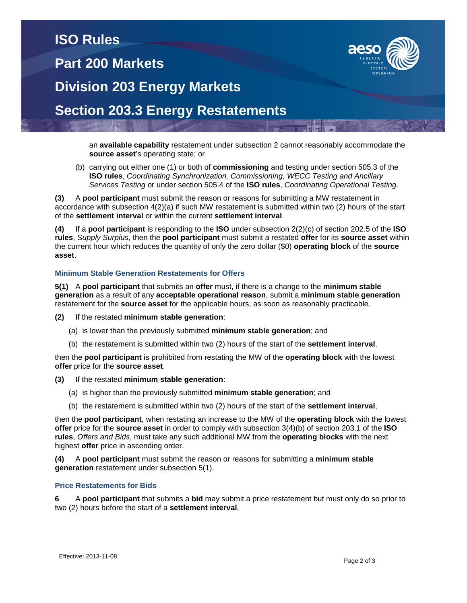## **ISO Rules**

## **Part 200 Markets**



**Division 203 Energy Markets**

## **Section 203.3 Energy Restatements**

an **available capability** restatement under subsection 2 cannot reasonably accommodate the **source asset**'s operating state; or

(b) carrying out either one (1) or both of **commissioning** and testing under section 505.3 of the **ISO rules**, *Coordinating Synchronization, Commissioning, WECC Testing and Ancillary Services Testing* or under section 505.4 of the **ISO rules**, *Coordinating Operational Testing*.

**(3)** A **pool participant** must submit the reason or reasons for submitting a MW restatement in accordance with subsection 4(2)(a) if such MW restatement is submitted within two (2) hours of the start of the **settlement interval** or within the current **settlement interval**.

**(4)** If a **pool participant** is responding to the **ISO** under subsection 2(2)(c) of section 202.5 of the **ISO rules**, *Supply Surplus*, then the **pool participant** must submit a restated **offer** for its **source asset** within the current hour which reduces the quantity of only the zero dollar (\$0) **operating block** of the **source asset**.

### **Minimum Stable Generation Restatements for Offers**

**5(1)** A **pool participant** that submits an **offer** must, if there is a change to the **minimum stable generation** as a result of any **acceptable operational reason**, submit a **minimum stable generation** restatement for the **source asset** for the applicable hours, as soon as reasonably practicable.

- **(2)** If the restated **minimum stable generation**:
	- (a) is lower than the previously submitted **minimum stable generation**; and
	- (b) the restatement is submitted within two (2) hours of the start of the **settlement interval**,

then the **pool participant** is prohibited from restating the MW of the **operating block** with the lowest **offer** price for the **source asset**.

### **(3)** If the restated **minimum stable generation**:

- (a) is higher than the previously submitted **minimum stable generation**; and
- (b) the restatement is submitted within two (2) hours of the start of the **settlement interval**,

then the **pool participant**, when restating an increase to the MW of the **operating block** with the lowest **offer** price for the **source asset** in order to comply with subsection 3(4)(b) of section 203.1 of the **ISO rules**, *Offers and Bids*, must take any such additional MW from the **operating blocks** with the next highest **offer** price in ascending order.

**(4)** A **pool participant** must submit the reason or reasons for submitting a **minimum stable generation** restatement under subsection 5(1).

### **Price Restatements for Bids**

**6** A **pool participant** that submits a **bid** may submit a price restatement but must only do so prior to two (2) hours before the start of a **settlement interval**.